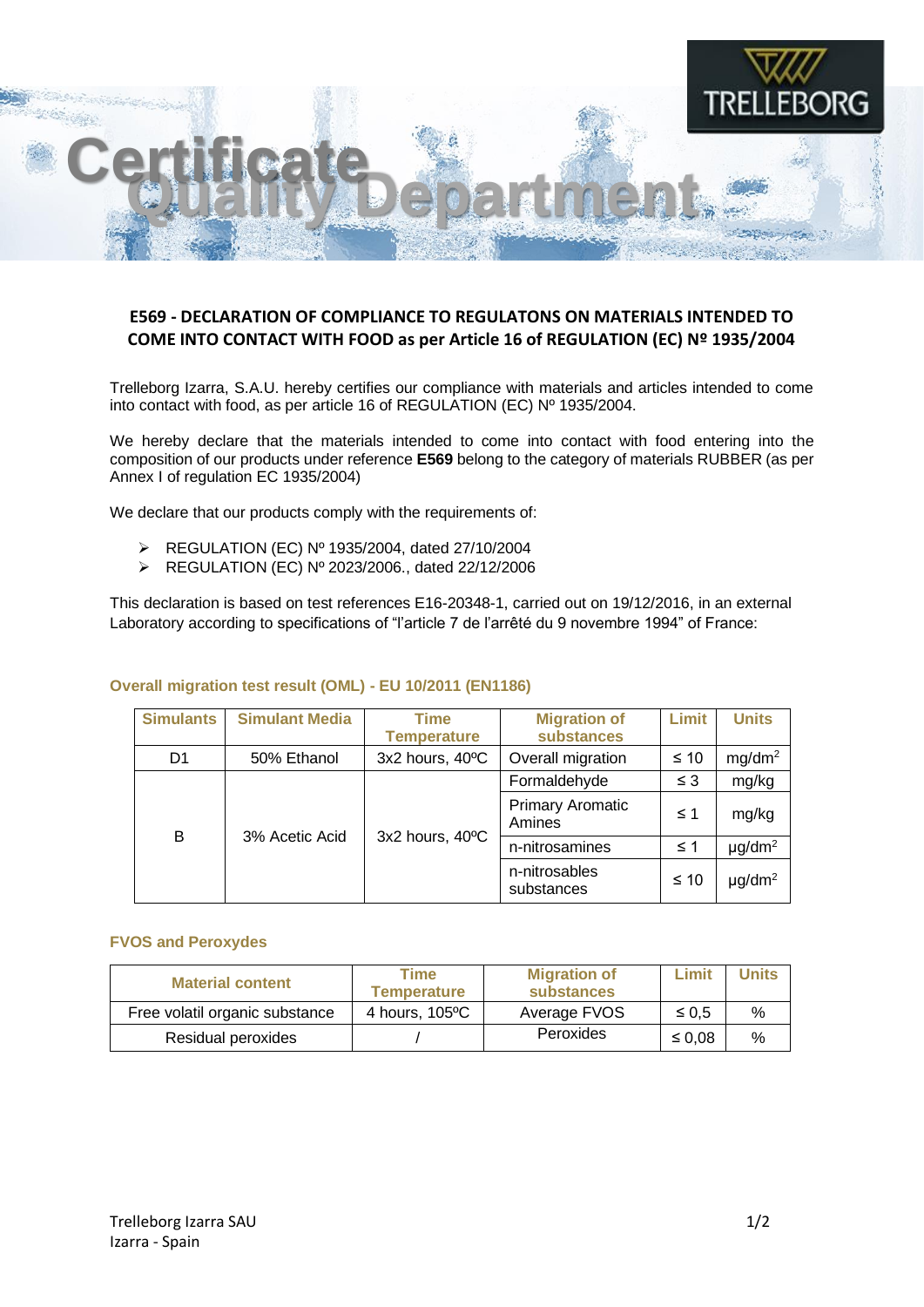

## **E569 - DECLARATION OF COMPLIANCE TO REGULATONS ON MATERIALS INTENDED TO COME INTO CONTACT WITH FOOD as per Article 16 of REGULATION (EC) Nº 1935/2004**

Trelleborg Izarra, S.A.U. hereby certifies our compliance with materials and articles intended to come into contact with food, as per article 16 of REGULATION (EC) Nº 1935/2004.

We hereby declare that the materials intended to come into contact with food entering into the composition of our products under reference **E569** belong to the category of materials RUBBER (as per Annex I of regulation EC 1935/2004)

We declare that our products comply with the requirements of:

- ➢ REGULATION (EC) Nº 1935/2004, dated 27/10/2004
- ➢ REGULATION (EC) Nº 2023/2006., dated 22/12/2006

This declaration is based on test references E16-20348-1, carried out on 19/12/2016, in an external Laboratory according to specifications of "l'article 7 de l'arrêté du 9 novembre 1994" of France:

## **Overall migration test result (OML) - EU 10/2011 (EN1186)**

| <b>Simulants</b> | <b>Simulant Media</b> | Time<br><b>Temperature</b> | <b>Migration of</b><br>substances | Limit     | <b>Units</b>            |
|------------------|-----------------------|----------------------------|-----------------------------------|-----------|-------------------------|
| D <sub>1</sub>   | 50% Ethanol           | 3x2 hours, 40°C            | Overall migration                 | $\leq 10$ | mg/dm <sup>2</sup>      |
| B                | 3% Acetic Acid        | 3x2 hours, 40°C            | Formaldehyde                      | $\leq$ 3  | mg/kg                   |
|                  |                       |                            | <b>Primary Aromatic</b><br>Amines | $\leq$ 1  | mg/kg                   |
|                  |                       |                            | n-nitrosamines                    | $\leq 1$  | $\mu$ g/dm <sup>2</sup> |
|                  |                       |                            | n-nitrosables<br>substances       | $≤ 10$    | $\mu$ g/dm <sup>2</sup> |

## **FVOS and Peroxydes**

| <b>Material content</b>        | Time<br>Temperature      | <b>Migration of</b><br>substances | Limit       | <b>Units</b>  |
|--------------------------------|--------------------------|-----------------------------------|-------------|---------------|
| Free volatil organic substance | 4 hours, $105^{\circ}$ C | Average FVOS                      | $\leq 0.5$  | $\frac{0}{0}$ |
| Residual peroxides             |                          | Peroxides                         | $\leq 0.08$ | $\%$          |